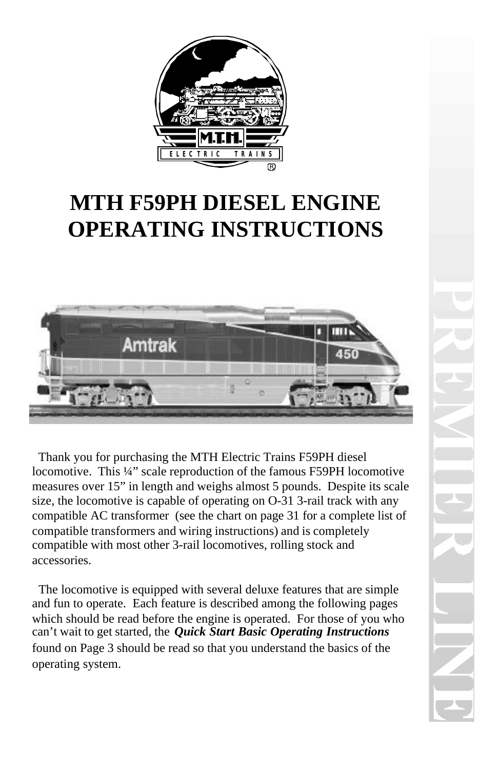

# **MTH F59PH DIESEL ENGINE OPERATING INSTRUCTIONS**



 Thank you for purchasing the MTH Electric Trains F59PH diesel locomotive. This ¼" scale reproduction of the famous F59PH locomotive measures over 15" in length and weighs almost 5 pounds. Despite its scale size, the locomotive is capable of operating on O-31 3-rail track with any compatible AC transformer (see the chart on page 31 for a complete list of compatible transformers and wiring instructions) and is completely compatible with most other 3-rail locomotives, rolling stock and accessories.

 The locomotive is equipped with several deluxe features that are simple and fun to operate. Each feature is described among the following pages which should be read before the engine is operated. For those of you who can't wait to get started, the *Quick Start Basic Operating Instructions* found on Page 3 should be read so that you understand the basics of the operating system.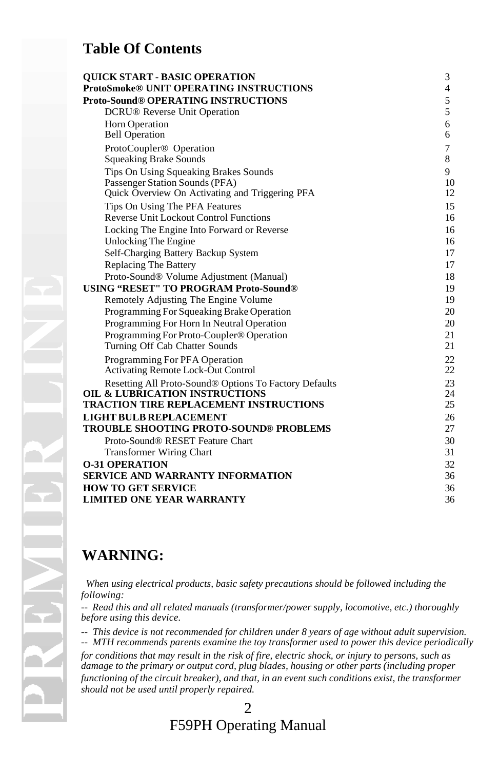#### **Table Of Contents**

| <b>OUICK START - BASIC OPERATION</b>                   | 3              |
|--------------------------------------------------------|----------------|
| ProtoSmoke® UNIT OPERATING INSTRUCTIONS                | $\overline{4}$ |
| <b>Proto-Sound® OPERATING INSTRUCTIONS</b>             | 5              |
| <b>DCRU®</b> Reverse Unit Operation                    | 5              |
| Horn Operation                                         | 6              |
| <b>Bell Operation</b>                                  | 6              |
| ProtoCoupler <sup>®</sup> Operation                    | 7              |
| <b>Squeaking Brake Sounds</b>                          | 8              |
| Tips On Using Squeaking Brakes Sounds                  | 9              |
| Passenger Station Sounds (PFA)                         | 10             |
| Quick Overview On Activating and Triggering PFA        | 12             |
| Tips On Using The PFA Features                         | 15             |
| <b>Reverse Unit Lockout Control Functions</b>          | 16             |
| Locking The Engine Into Forward or Reverse             | 16             |
| Unlocking The Engine                                   | 16             |
| Self-Charging Battery Backup System                    | 17             |
| <b>Replacing The Battery</b>                           | 17             |
| Proto-Sound® Volume Adjustment (Manual)                | 18             |
| <b>USING "RESET" TO PROGRAM Proto-Sound®</b>           | 19             |
| Remotely Adjusting The Engine Volume                   | 19             |
| Programming For Squeaking Brake Operation              | 20             |
| Programming For Horn In Neutral Operation              | 20             |
| Programming For Proto-Coupler <sup>®</sup> Operation   | 21             |
| Turning Off Cab Chatter Sounds                         | 21             |
| Programming For PFA Operation                          | 22             |
| <b>Activating Remote Lock-Out Control</b>              | 22             |
| Resetting All Proto-Sound® Options To Factory Defaults | 23             |
| <b>OIL &amp; LUBRICATION INSTRUCTIONS</b>              | 24             |
| <b>TRACTION TIRE REPLACEMENT INSTRUCTIONS</b>          | 25             |
| <b>LIGHT BULB REPLACEMENT</b>                          | 26             |
| <b>TROUBLE SHOOTING PROTO-SOUND® PROBLEMS</b>          | 27             |
| Proto-Sound <sup>®</sup> RESET Feature Chart           | 30             |
| <b>Transformer Wiring Chart</b>                        | 31             |
| <b>0-31 OPERATION</b>                                  | 32             |
| SERVICE AND WARRANTY INFORMATION                       | 36             |
| <b>HOW TO GET SERVICE</b>                              | 36             |
| <b>LIMITED ONE YEAR WARRANTY</b>                       | 36             |

#### **WARNING:**

 *When using electrical products, basic safety precautions should be followed including the following:*

*-- Read this and all related manuals (transformer/power supply, locomotive, etc.) thoroughly before using this device.*

*-- This device is not recommended for children under 8 years of age without adult supervision. -- MTH recommends parents examine the toy transformer used to power this device periodically*

*for conditions that may result in the risk of fire, electric shock, or injury to persons, such as damage to the primary or output cord, plug blades, housing or other parts (including proper functioning of the circuit breaker), and that, in an event such conditions exist, the transformer should not be used until properly repaired.*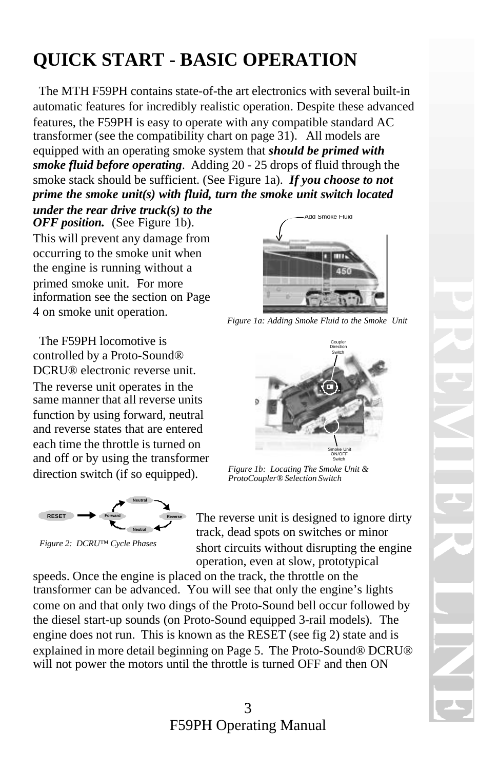# **QUICK START - BASIC OPERATION**

 The MTH F59PH contains state-of-the art electronics with several built-in automatic features for incredibly realistic operation. Despite these advanced features, the F59PH is easy to operate with any compatible standard AC transformer (see the compatibility chart on page 31). All models are equipped with an operating smoke system that *should be primed with smoke fluid before operating*. Adding 20 - 25 drops of fluid through the smoke stack should be sufficient. (See Figure 1a). *If you choose to not prime the smoke unit(s) with fluid, turn the smoke unit switch located*

*under the rear drive truck(s) to the OFF position.* (See Figure 1b). This will prevent any damage from occurring to the smoke unit when the engine is running without a primed smoke unit. For more information see the section on Page 4 on smoke unit operation.

 The F59PH locomotive is controlled by a Proto-Sound® DCRU® electronic reverse unit. The reverse unit operates in the same manner that all reverse units function by using forward, neutral and reverse states that are entered each time the throttle is turned on and off or by using the transformer direction switch (if so equipped).



*Figure 2: DCRU™ Cycle Phases*



*Figure 1a: Adding Smoke Fluid to the Smoke Unit*



*Figure 1b: Locating The Smoke Unit & ProtoCoupler® Selection Switch* 

The reverse unit is designed to ignore dirty track, dead spots on switches or minor short circuits without disrupting the engine operation, even at slow, prototypical

speeds. Once the engine is placed on the track, the throttle on the transformer can be advanced. You will see that only the engine's lights come on and that only two dings of the Proto-Sound bell occur followed by the diesel start-up sounds (on Proto-Sound equipped 3-rail models). The engine does not run. This is known as the RESET (see fig 2) state and is explained in more detail beginning on Page 5. The Proto-Sound® DCRU® will not power the motors until the throttle is turned OFF and then ON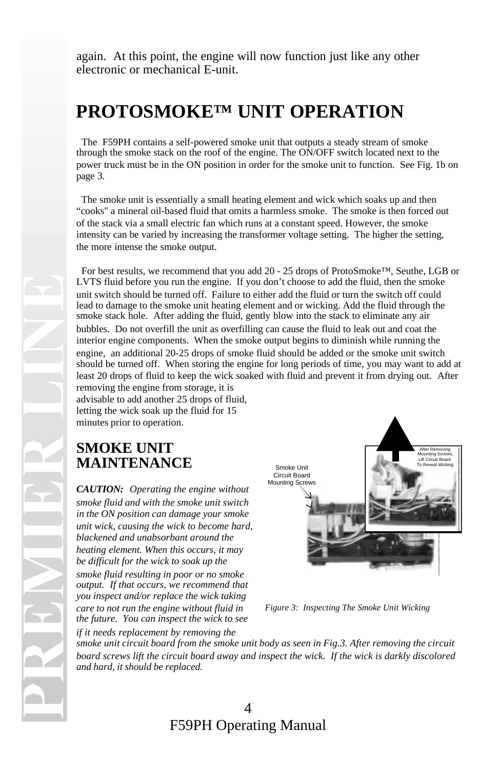again. At this point, the engine will now function just like any other electronic or mechanical E-unit.

## **PROTOSMOKE™ UNIT OPERATION**

 The F59PH contains a self-powered smoke unit that outputs a steady stream of smoke through the smoke stack on the roof of the engine. The ON/OFF switch located next to the power truck must be in the ON position in order for the smoke unit to function. See Fig. 1b on page 3.

 The smoke unit is essentially a small heating element and wick which soaks up and then "cooks" a mineral oil-based fluid that omits a harmless smoke. The smoke is then forced out of the stack via a small electric fan which runs at a constant speed. However, the smoke intensity can be varied by increasing the transformer voltage setting. The higher the setting, the more intense the smoke output.

 For best results, we recommend that you add 20 - 25 drops of ProtoSmoke™, Seuthe, LGB or LVTS fluid before you run the engine. If you don't choose to add the fluid, then the smoke unit switch should be turned off. Failure to either add the fluid or turn the switch off could lead to damage to the smoke unit heating element and or wicking. Add the fluid through the smoke stack hole. After adding the fluid, gently blow into the stack to eliminate any air bubbles. Do not overfill the unit as overfilling can cause the fluid to leak out and coat the interior engine components. When the smoke output begins to diminish while running the engine, an additional 20-25 drops of smoke fluid should be added or the smoke unit switch should be turned off. When storing the engine for long periods of time, you may want to add at least 20 drops of fluid to keep the wick soaked with fluid and prevent it from drying out. After removing the engine from storage, it is advisable to add another 25 drops of fluid,

letting the wick soak up the fluid for 15 minutes prior to operation.

### **SMOKE UNIT MAINTENANCE**

*CAUTION: Operating the engine without smoke fluid and with the smoke unit switch in the ON position can damage your smoke unit wick, causing the wick to become hard, blackened and unabsorbant around the heating element. When this occurs, it may be difficult for the wick to soak up the smoke fluid resulting in poor or no smoke output. If that occurs, we recommend that you inspect and/or replace the wick taking care to not run the engine without fluid in the future. You can inspect the wick to see*



*Figure 3: Inspecting The Smoke Unit Wicking*

*if it needs replacement by removing the smoke unit circuit board from the smoke unit body as seen in Fig.3. After removing the circuit board screws lift the circuit board away and inspect the wick. If the wick is darkly discolored and hard, it should be replaced.*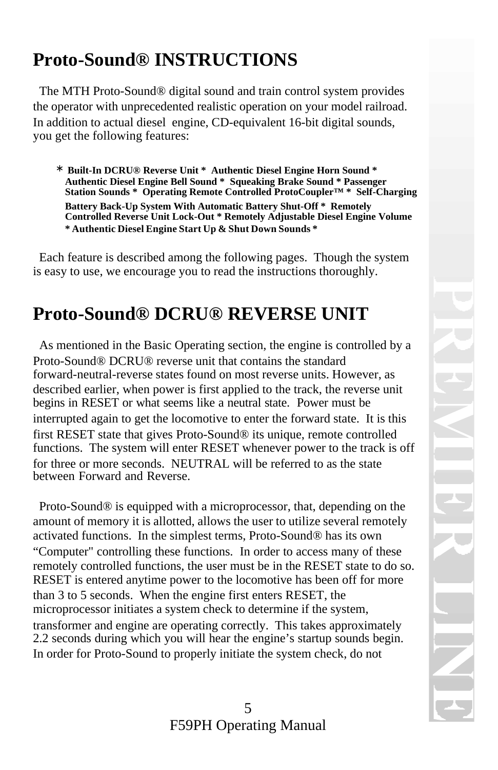# **Proto-Sound® INSTRUCTIONS**

 The MTH Proto-Sound® digital sound and train control system provides the operator with unprecedented realistic operation on your model railroad. In addition to actual diesel engine, CD-equivalent 16-bit digital sounds, you get the following features:

1. <sup>∗</sup> **Built-In DCRU® Reverse Unit \* Authentic Diesel Engine Horn Sound \* Authentic Diesel Engine Bell Sound \* Squeaking Brake Sound \* Passenger Station Sounds \* Operating Remote Controlled ProtoCoupler™ \* Self-Charging Battery Back-Up System With Automatic Battery Shut-Off \* Remotely Controlled Reverse Unit Lock-Out \* Remotely Adjustable Diesel Engine Volume \* Authentic Diesel Engine Start Up & Shut Down Sounds \***

 Each feature is described among the following pages. Though the system is easy to use, we encourage you to read the instructions thoroughly.

## **Proto-Sound® DCRU® REVERSE UNIT**

 As mentioned in the Basic Operating section, the engine is controlled by a Proto-Sound® DCRU® reverse unit that contains the standard forward-neutral-reverse states found on most reverse units. However, as described earlier, when power is first applied to the track, the reverse unit begins in RESET or what seems like a neutral state. Power must be interrupted again to get the locomotive to enter the forward state. It is this first RESET state that gives Proto-Sound® its unique, remote controlled functions. The system will enter RESET whenever power to the track is off for three or more seconds. NEUTRAL will be referred to as the state between Forward and Reverse.

 Proto-Sound® is equipped with a microprocessor, that, depending on the amount of memory it is allotted, allows the user to utilize several remotely activated functions. In the simplest terms, Proto-Sound® has its own "Computer" controlling these functions. In order to access many of these remotely controlled functions, the user must be in the RESET state to do so. RESET is entered anytime power to the locomotive has been off for more than 3 to 5 seconds. When the engine first enters RESET, the microprocessor initiates a system check to determine if the system, transformer and engine are operating correctly. This takes approximately 2.2 seconds during which you will hear the engine's startup sounds begin. In order for Proto-Sound to properly initiate the system check, do not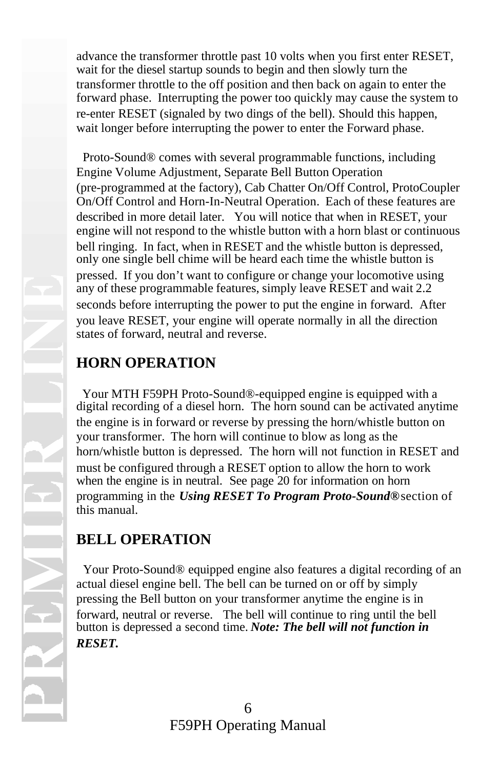advance the transformer throttle past 10 volts when you first enter RESET, wait for the diesel startup sounds to begin and then slowly turn the transformer throttle to the off position and then back on again to enter the forward phase. Interrupting the power too quickly may cause the system to re-enter RESET (signaled by two dings of the bell). Should this happen, wait longer before interrupting the power to enter the Forward phase.

 Proto-Sound® comes with several programmable functions, including Engine Volume Adjustment, Separate Bell Button Operation (pre-programmed at the factory), Cab Chatter On/Off Control, ProtoCoupler On/Off Control and Horn-In-Neutral Operation. Each of these features are described in more detail later. You will notice that when in RESET, your engine will not respond to the whistle button with a horn blast or continuous bell ringing. In fact, when in RESET and the whistle button is depressed, only one single bell chime will be heard each time the whistle button is pressed. If you don't want to configure or change your locomotive using any of these programmable features, simply leave RESET and wait 2.2 seconds before interrupting the power to put the engine in forward. After you leave RESET, your engine will operate normally in all the direction states of forward, neutral and reverse.

### **HORN OPERATION**

 Your MTH F59PH Proto-Sound®-equipped engine is equipped with a digital recording of a diesel horn. The horn sound can be activated anytime the engine is in forward or reverse by pressing the horn/whistle button on your transformer. The horn will continue to blow as long as the horn/whistle button is depressed. The horn will not function in RESET and must be configured through a RESET option to allow the horn to work when the engine is in neutral. See page 20 for information on horn programming in the *Using RESET To Program Proto-Sound®* section of this manual.

### **BELL OPERATION**

 Your Proto-Sound® equipped engine also features a digital recording of an actual diesel engine bell. The bell can be turned on or off by simply pressing the Bell button on your transformer anytime the engine is in forward, neutral or reverse. The bell will continue to ring until the bell button is depressed a second time. *Note: The bell will not function in RESET.*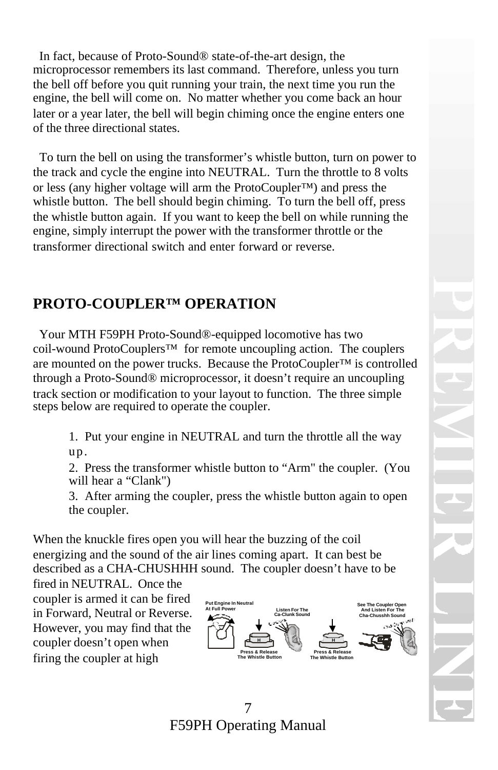In fact, because of Proto-Sound® state-of-the-art design, the microprocessor remembers its last command. Therefore, unless you turn the bell off before you quit running your train, the next time you run the engine, the bell will come on. No matter whether you come back an hour later or a year later, the bell will begin chiming once the engine enters one of the three directional states.

 To turn the bell on using the transformer's whistle button, turn on power to the track and cycle the engine into NEUTRAL. Turn the throttle to 8 volts or less (any higher voltage will arm the ProtoCoupler™) and press the whistle button. The bell should begin chiming. To turn the bell off, press the whistle button again. If you want to keep the bell on while running the engine, simply interrupt the power with the transformer throttle or the transformer directional switch and enter forward or reverse.

### **PROTO-COUPLER™ OPERATION**

 Your MTH F59PH Proto-Sound®-equipped locomotive has two coil-wound ProtoCouplers™ for remote uncoupling action. The couplers are mounted on the power trucks. Because the ProtoCoupler™ is controlled through a Proto-Sound® microprocessor, it doesn't require an uncoupling track section or modification to your layout to function. The three simple steps below are required to operate the coupler.

1. Put your engine in NEUTRAL and turn the throttle all the way up.

2. Press the transformer whistle button to "Arm" the coupler. (You will hear a "Clank")

3. After arming the coupler, press the whistle button again to open the coupler.

When the knuckle fires open you will hear the buzzing of the coil energizing and the sound of the air lines coming apart. It can best be described as a CHA-CHUSHHH sound. The coupler doesn't have to be

fired in NEUTRAL. Once the coupler is armed it can be fired in Forward, Neutral or Reverse. However, you may find that the coupler doesn't open when firing the coupler at high

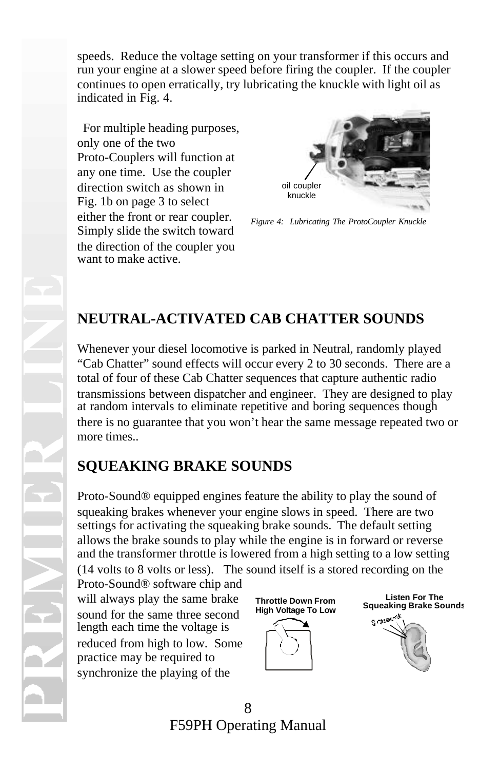speeds. Reduce the voltage setting on your transformer if this occurs and run your engine at a slower speed before firing the coupler. If the coupler continues to open erratically, try lubricating the knuckle with light oil as indicated in Fig. 4.

 For multiple heading purposes, only one of the two Proto-Couplers will function at any one time. Use the coupler direction switch as shown in Fig. 1b on page 3 to select either the front or rear coupler. Simply slide the switch toward the direction of the coupler you want to make active.



*Figure 4: Lubricating The ProtoCoupler Knuckle*

## **NEUTRAL-ACTIVATED CAB CHATTER SOUNDS**

Whenever your diesel locomotive is parked in Neutral, randomly played "Cab Chatter" sound effects will occur every 2 to 30 seconds. There are a total of four of these Cab Chatter sequences that capture authentic radio transmissions between dispatcher and engineer. They are designed to play at random intervals to eliminate repetitive and boring sequences though there is no guarantee that you won't hear the same message repeated two or more times..

## **SQUEAKING BRAKE SOUNDS**

Proto-Sound® equipped engines feature the ability to play the sound of squeaking brakes whenever your engine slows in speed. There are two settings for activating the squeaking brake sounds. The default setting allows the brake sounds to play while the engine is in forward or reverse and the transformer throttle is lowered from a high setting to a low setting (14 volts to 8 volts or less). The sound itself is a stored recording on the

Proto-Sound® software chip and will always play the same brake sound for the same three second length each time the voltage is reduced from high to low. Some practice may be required to synchronize the playing of the





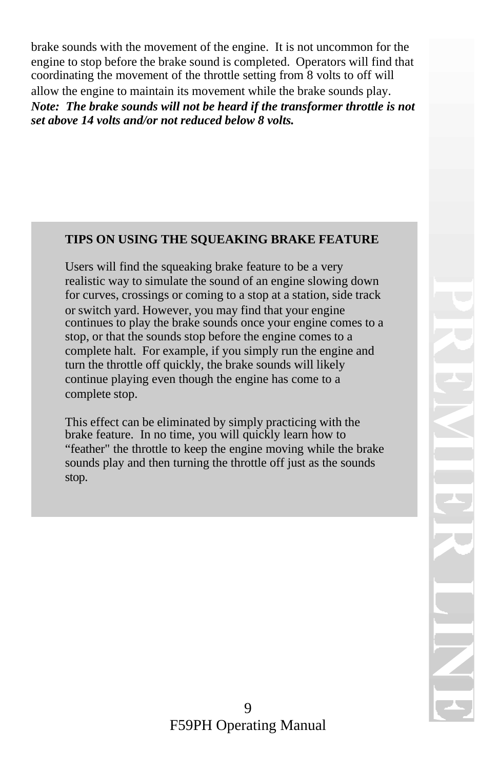brake sounds with the movement of the engine. It is not uncommon for the engine to stop before the brake sound is completed. Operators will find that coordinating the movement of the throttle setting from 8 volts to off will allow the engine to maintain its movement while the brake sounds play. *Note: The brake sounds will not be heard if the transformer throttle is not set above 14 volts and/or not reduced below 8 volts.*

#### **TIPS ON USING THE SQUEAKING BRAKE FEATURE**

Users will find the squeaking brake feature to be a very realistic way to simulate the sound of an engine slowing down for curves, crossings or coming to a stop at a station, side track or switch yard. However, you may find that your engine continues to play the brake sounds once your engine comes to a stop, or that the sounds stop before the engine comes to a complete halt. For example, if you simply run the engine and turn the throttle off quickly, the brake sounds will likely continue playing even though the engine has come to a complete stop.

This effect can be eliminated by simply practicing with the brake feature. In no time, you will quickly learn how to "feather" the throttle to keep the engine moving while the brake sounds play and then turning the throttle off just as the sounds stop.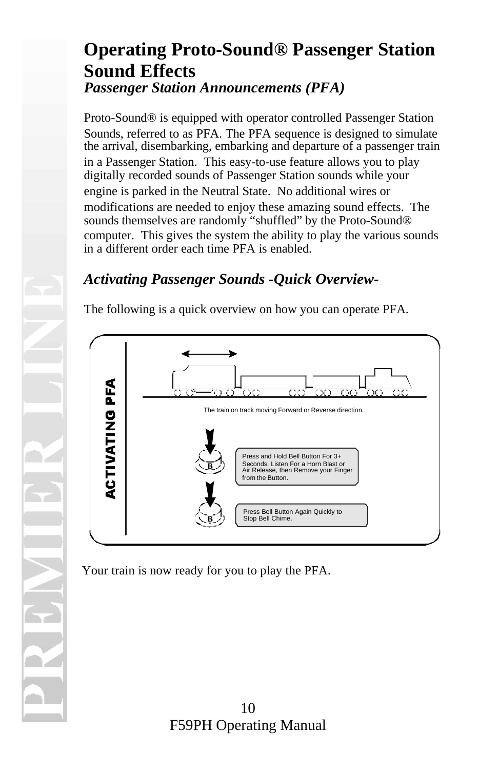## **Operating Proto-Sound® Passenger Station Sound Effects** *Passenger Station Announcements (PFA)*

Proto-Sound® is equipped with operator controlled Passenger Station Sounds, referred to as PFA. The PFA sequence is designed to simulate the arrival, disembarking, embarking and departure of a passenger train in a Passenger Station. This easy-to-use feature allows you to play digitally recorded sounds of Passenger Station sounds while your engine is parked in the Neutral State. No additional wires or modifications are needed to enjoy these amazing sound effects. The sounds themselves are randomly "shuffled" by the Proto-Sound® computer. This gives the system the ability to play the various sounds in a different order each time PFA is enabled.

#### *Activating Passenger Sounds -Quick Overview-*

The following is a quick overview on how you can operate PFA.



Your train is now ready for you to play the PFA.

10 F59PH Operating Manual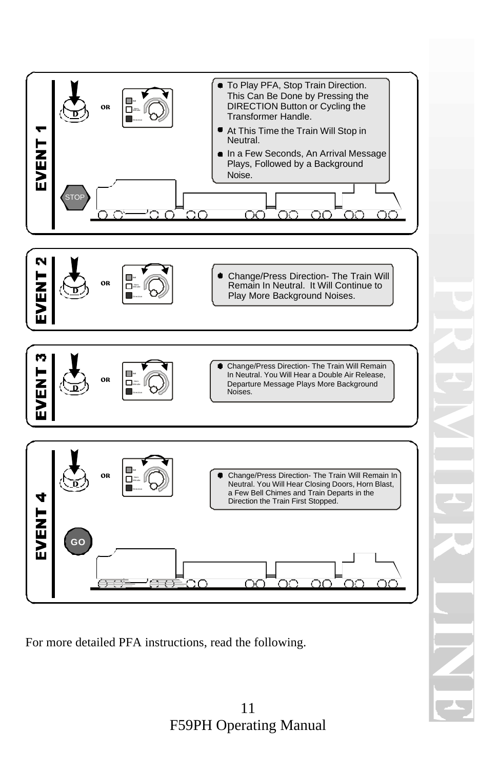

For more detailed PFA instructions, read the following.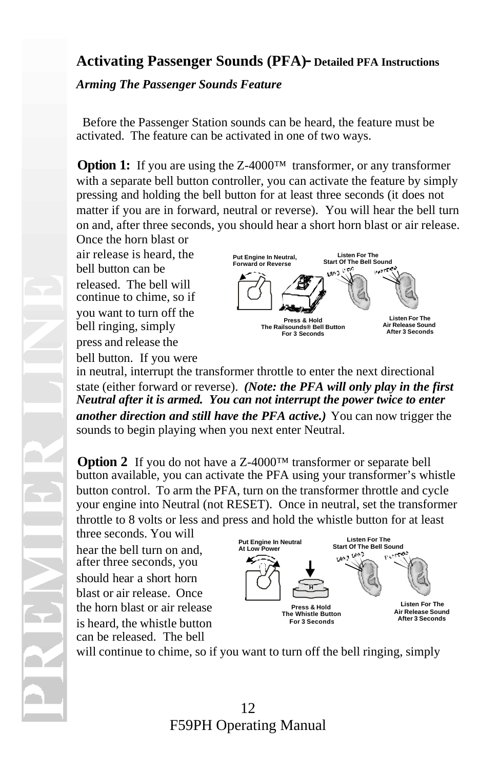#### **Activating Passenger Sounds (PFA)- Detailed PFA Instructions**

*Arming The Passenger Sounds Feature*

 Before the Passenger Station sounds can be heard, the feature must be activated. The feature can be activated in one of two ways.

**Option 1:** If you are using the Z-4000™ transformer, or any transformer with a separate bell button controller, you can activate the feature by simply pressing and holding the bell button for at least three seconds (it does not matter if you are in forward, neutral or reverse). You will hear the bell turn on and, after three seconds, you should hear a short horn blast or air release.

Once the horn blast or air release is heard, the bell button can be released. The bell will continue to chime, so if you want to turn off the bell ringing, simply press and release the bell button. If you were



in neutral, interrupt the transformer throttle to enter the next directional state (either forward or reverse). *(Note: the PFA will only play in the first Neutral after it is armed. You can not interrupt the power twice to enter another direction and still have the PFA active.)* You can now trigger the sounds to begin playing when you next enter Neutral.

**Option 2** If you do not have a Z-4000™ transformer or separate bell button available, you can activate the PFA using your transformer's whistle button control. To arm the PFA, turn on the transformer throttle and cycle your engine into Neutral (not RESET). Once in neutral, set the transformer throttle to 8 volts or less and press and hold the whistle button for at least

three seconds. You will hear the bell turn on and, after three seconds, you should hear a short horn blast or air release. Once the horn blast or air release is heard, the whistle button can be released. The bell



will continue to chime, so if you want to turn off the bell ringing, simply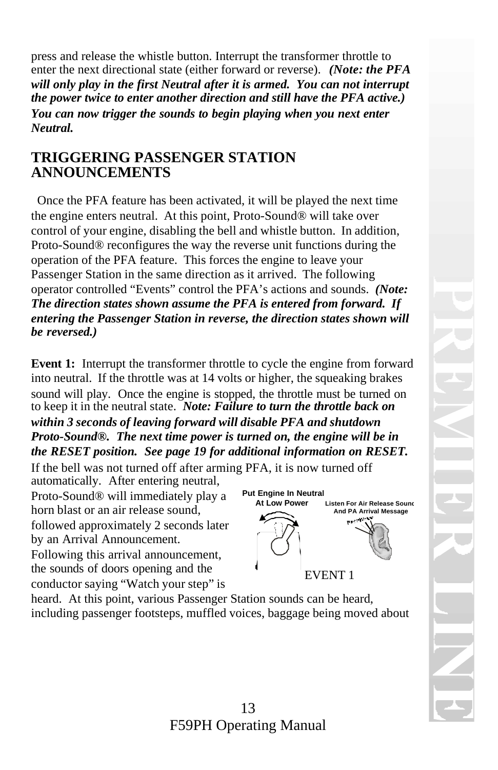press and release the whistle button. Interrupt the transformer throttle to enter the next directional state (either forward or reverse). *(Note: the PFA will only play in the first Neutral after it is armed. You can not interrupt the power twice to enter another direction and still have the PFA active.) You can now trigger the sounds to begin playing when you next enter Neutral.*

#### **TRIGGERING PASSENGER STATION ANNOUNCEMENTS**

 Once the PFA feature has been activated, it will be played the next time the engine enters neutral. At this point, Proto-Sound® will take over control of your engine, disabling the bell and whistle button. In addition, Proto-Sound® reconfigures the way the reverse unit functions during the operation of the PFA feature. This forces the engine to leave your Passenger Station in the same direction as it arrived. The following operator controlled "Events" control the PFA's actions and sounds. *(Note: The direction states shown assume the PFA is entered from forward. If entering the Passenger Station in reverse, the direction states shown will be reversed.)*

**Event 1:** Interrupt the transformer throttle to cycle the engine from forward into neutral. If the throttle was at 14 volts or higher, the squeaking brakes sound will play. Once the engine is stopped, the throttle must be turned on to keep it in the neutral state. *Note: Failure to turn the throttle back on within 3 seconds of leaving forward will disable PFA and shutdown Proto-Sound®. The next time power is turned on, the engine will be in the RESET position. See page 19 for additional information on RESET.*

If the bell was not turned off after arming PFA, it is now turned off

automatically. After entering neutral, Proto-Sound® will immediately play a horn blast or an air release sound, followed approximately 2 seconds later by an Arrival Announcement. Following this arrival announcement, the sounds of doors opening and the

conductor saying "Watch your step" is

**Put Engine In Neutral At Low Power Listen For Air Release Sound And PA Arrival Message** EVENT 1

heard. At this point, various Passenger Station sounds can be heard, including passenger footsteps, muffled voices, baggage being moved about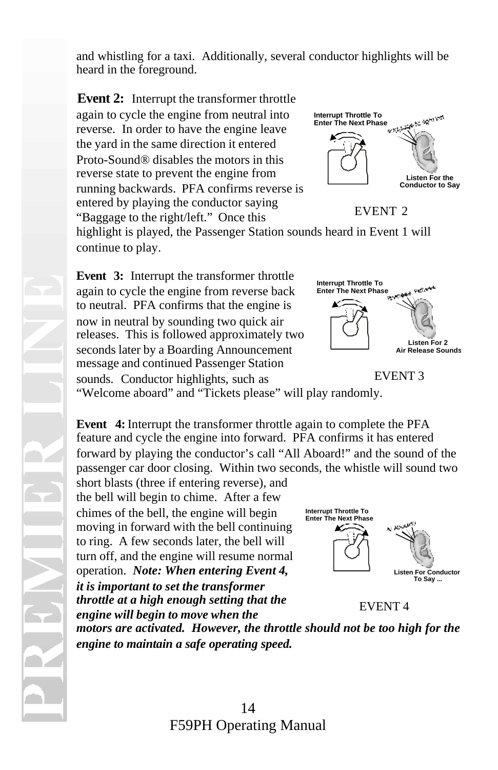and whistling for a taxi. Additionally, several conductor highlights will be heard in the foreground.

**Event 2:** Interrupt the transformer throttle again to cycle the engine from neutral into reverse. In order to have the engine leave the yard in the same direction it entered Proto-Sound® disables the motors in this reverse state to prevent the engine from running backwards. PFA confirms reverse is entered by playing the conductor saying "Baggage to the right/left." Once this



EVENT 2

highlight is played, the Passenger Station sounds heard in Event 1 will continue to play.

**Event 3:** Interrupt the transformer throttle again to cycle the engine from reverse back to neutral. PFA confirms that the engine is now in neutral by sounding two quick air releases. This is followed approximately two seconds later by a Boarding Announcement message and continued Passenger Station sounds. Conductor highlights, such as



EVENT 3

"Welcome aboard" and "Tickets please" will play randomly.

**Event 4:** Interrupt the transformer throttle again to complete the PFA feature and cycle the engine into forward. PFA confirms it has entered forward by playing the conductor's call "All Aboard!" and the sound of the passenger car door closing. Within two seconds, the whistle will sound two

short blasts (three if entering reverse), and the bell will begin to chime. After a few chimes of the bell, the engine will begin moving in forward with the bell continuing to ring. A few seconds later, the bell will turn off, and the engine will resume normal operation. *Note: When entering Event 4, it is important to set the transformer throttle at a high enough setting that the engine will begin to move when the*



EVENT 4

*motors are activated. However, the throttle should not be too high for the engine to maintain a safe operating speed.*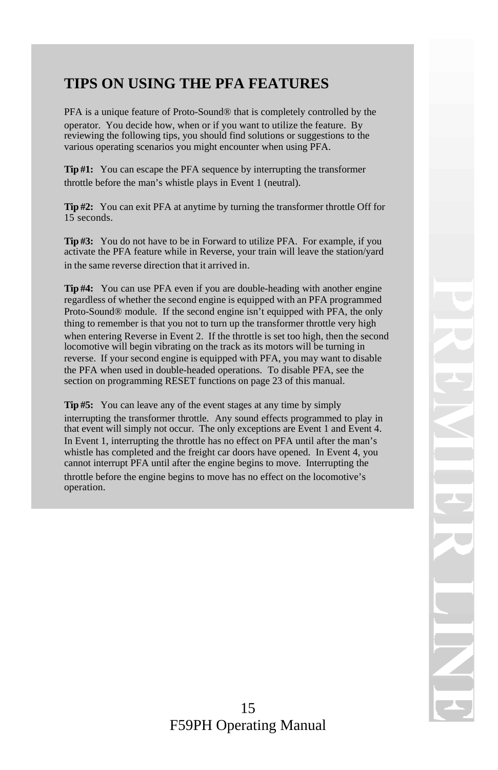### **TIPS ON USING THE PFA FEATURES**

PFA is a unique feature of Proto-Sound® that is completely controlled by the operator. You decide how, when or if you want to utilize the feature. By reviewing the following tips, you should find solutions or suggestions to the various operating scenarios you might encounter when using PFA.

**Tip #1:** You can escape the PFA sequence by interrupting the transformer throttle before the man's whistle plays in Event 1 (neutral).

**Tip #2:** You can exit PFA at anytime by turning the transformer throttle Off for 15 seconds.

**Tip #3:** You do not have to be in Forward to utilize PFA. For example, if you activate the PFA feature while in Reverse, your train will leave the station/yard in the same reverse direction that it arrived in.

**Tip #4:** You can use PFA even if you are double-heading with another engine regardless of whether the second engine is equipped with an PFA programmed Proto-Sound® module. If the second engine isn't equipped with PFA, the only thing to remember is that you not to turn up the transformer throttle very high when entering Reverse in Event 2. If the throttle is set too high, then the second locomotive will begin vibrating on the track as its motors will be turning in reverse. If your second engine is equipped with PFA, you may want to disable the PFA when used in double-headed operations. To disable PFA, see the section on programming RESET functions on page 23 of this manual.

**Tip #5:** You can leave any of the event stages at any time by simply interrupting the transformer throttle. Any sound effects programmed to play in that event will simply not occur. The only exceptions are Event 1 and Event 4. In Event 1, interrupting the throttle has no effect on PFA until after the man's whistle has completed and the freight car doors have opened. In Event 4, you cannot interrupt PFA until after the engine begins to move. Interrupting the

throttle before the engine begins to move has no effect on the locomotive's operation.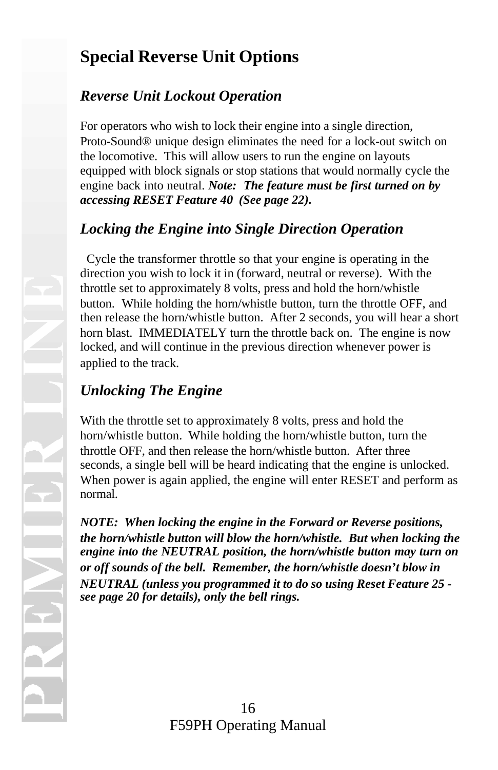## **Special Reverse Unit Options**

### *Reverse Unit Lockout Operation*

For operators who wish to lock their engine into a single direction, Proto-Sound® unique design eliminates the need for a lock-out switch on the locomotive. This will allow users to run the engine on layouts equipped with block signals or stop stations that would normally cycle the engine back into neutral. *Note: The feature must be first turned on by accessing RESET Feature 40 (See page 22).* 

### *Locking the Engine into Single Direction Operation*

 Cycle the transformer throttle so that your engine is operating in the direction you wish to lock it in (forward, neutral or reverse). With the throttle set to approximately 8 volts, press and hold the horn/whistle button. While holding the horn/whistle button, turn the throttle OFF, and then release the horn/whistle button. After 2 seconds, you will hear a short horn blast. IMMEDIATELY turn the throttle back on. The engine is now locked, and will continue in the previous direction whenever power is applied to the track.

## *Unlocking The Engine*

With the throttle set to approximately 8 volts, press and hold the horn/whistle button. While holding the horn/whistle button, turn the throttle OFF, and then release the horn/whistle button. After three seconds, a single bell will be heard indicating that the engine is unlocked. When power is again applied, the engine will enter RESET and perform as normal.

*NOTE: When locking the engine in the Forward or Reverse positions, the horn/whistle button will blow the horn/whistle. But when locking the engine into the NEUTRAL position, the horn/whistle button may turn on or off sounds of the bell. Remember, the horn/whistle doesn't blow in NEUTRAL (unless you programmed it to do so using Reset Feature 25 see page 20 for details), only the bell rings.*

16 F59PH Operating Manual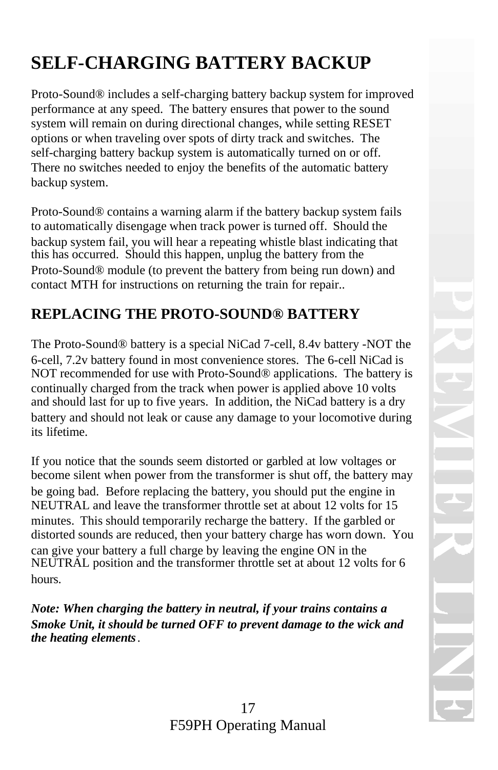# **SELF-CHARGING BATTERY BACKUP**

Proto-Sound® includes a self-charging battery backup system for improved performance at any speed. The battery ensures that power to the sound system will remain on during directional changes, while setting RESET options or when traveling over spots of dirty track and switches. The self-charging battery backup system is automatically turned on or off. There no switches needed to enjoy the benefits of the automatic battery backup system.

Proto-Sound® contains a warning alarm if the battery backup system fails to automatically disengage when track power is turned off. Should the backup system fail, you will hear a repeating whistle blast indicating that this has occurred. Should this happen, unplug the battery from the Proto-Sound® module (to prevent the battery from being run down) and contact MTH for instructions on returning the train for repair..

### **REPLACING THE PROTO-SOUND® BATTERY**

The Proto-Sound® battery is a special NiCad 7-cell, 8.4v battery -NOT the 6-cell, 7.2v battery found in most convenience stores. The 6-cell NiCad is NOT recommended for use with Proto-Sound® applications. The battery is continually charged from the track when power is applied above 10 volts and should last for up to five years. In addition, the NiCad battery is a dry battery and should not leak or cause any damage to your locomotive during its lifetime.

If you notice that the sounds seem distorted or garbled at low voltages or become silent when power from the transformer is shut off, the battery may be going bad. Before replacing the battery, you should put the engine in NEUTRAL and leave the transformer throttle set at about 12 volts for 15 minutes. This should temporarily recharge the battery. If the garbled or distorted sounds are reduced, then your battery charge has worn down. You can give your battery a full charge by leaving the engine ON in the NEUTRAL position and the transformer throttle set at about 12 volts for 6 hours.

*Note: When charging the battery in neutral, if your trains contains a Smoke Unit, it should be turned OFF to prevent damage to the wick and the heating elements.*

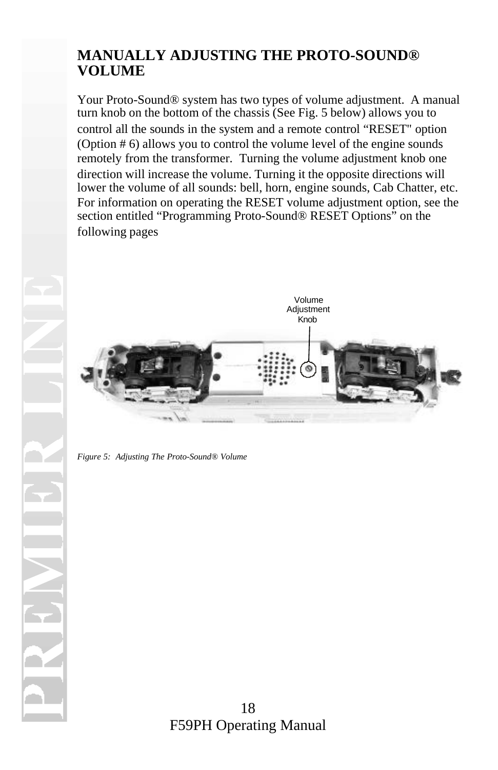#### **MANUALLY ADJUSTING THE PROTO-SOUND® VOLUME**

Your Proto-Sound® system has two types of volume adjustment. A manual turn knob on the bottom of the chassis (See Fig. 5 below) allows you to control all the sounds in the system and a remote control "RESET" option (Option # 6) allows you to control the volume level of the engine sounds remotely from the transformer. Turning the volume adjustment knob one direction will increase the volume. Turning it the opposite directions will lower the volume of all sounds: bell, horn, engine sounds, Cab Chatter, etc. For information on operating the RESET volume adjustment option, see the section entitled "Programming Proto-Sound® RESET Options" on the following pages



*Figure 5: Adjusting The Proto-Sound® Volume*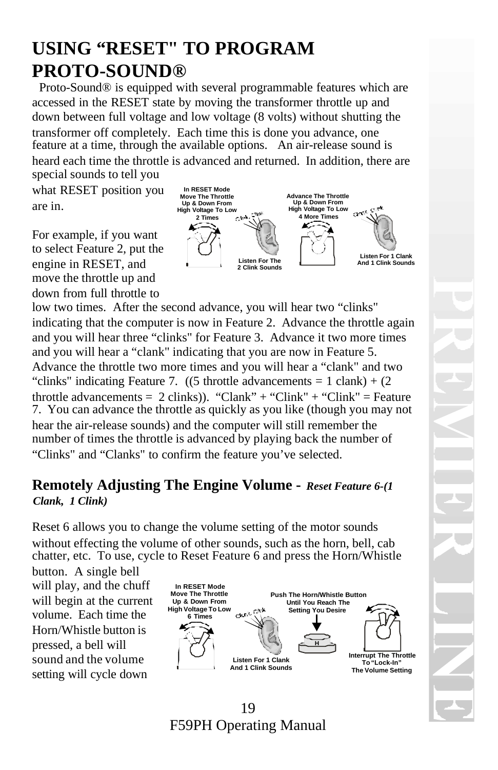## **USING "RESET" TO PROGRAM PROTO-SOUND®**

 Proto-Sound® is equipped with several programmable features which are accessed in the RESET state by moving the transformer throttle up and down between full voltage and low voltage (8 volts) without shutting the transformer off completely. Each time this is done you advance, one feature at a time, through the available options. An air-release sound is heard each time the throttle is advanced and returned. In addition, there are special sounds to tell you

what RESET position you are in.

For example, if you want to select Feature 2, put the engine in RESET, and move the throttle up and down from full throttle to



low two times. After the second advance, you will hear two "clinks" indicating that the computer is now in Feature 2. Advance the throttle again and you will hear three "clinks" for Feature 3. Advance it two more times and you will hear a "clank" indicating that you are now in Feature 5. Advance the throttle two more times and you will hear a "clank" and two "clinks" indicating Feature 7.  $((5 \text{throtted} a \text{dvanements} = 1 \text{ clash}) + (2 \text{diam} a \text{diam} a \text{t})$ throttle advancements =  $2 \text{ clinks}$ ). "Clank" + "Clink" + "Clink" = Feature 7. You can advance the throttle as quickly as you like (though you may not hear the air-release sounds) and the computer will still remember the number of times the throttle is advanced by playing back the number of "Clinks" and "Clanks" to confirm the feature you've selected.

#### **Remotely Adjusting The Engine Volume -** *Reset Feature 6-(1 Clank, 1 Clink)*

Reset 6 allows you to change the volume setting of the motor sounds without effecting the volume of other sounds, such as the horn, bell, cab chatter, etc. To use, cycle to Reset Feature 6 and press the Horn/Whistle

button. A single bell will play, and the chuff will begin at the current volume. Each time the Horn/Whistle button is pressed, a bell will sound and the volume setting will cycle down

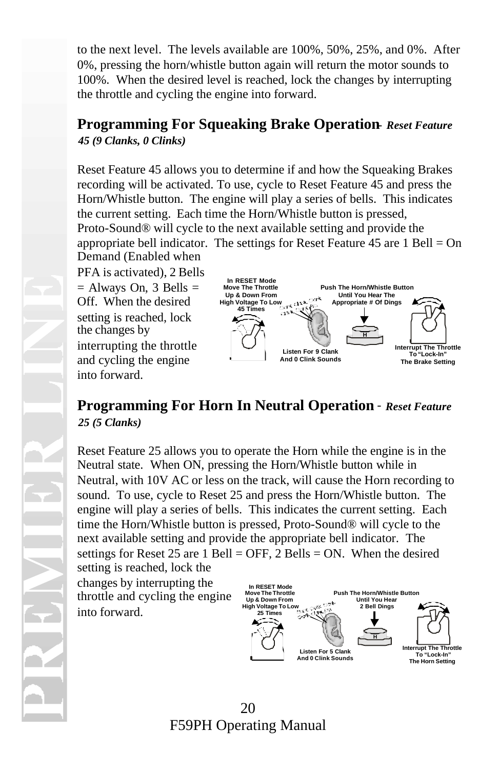to the next level. The levels available are 100%, 50%, 25%, and 0%. After 0%, pressing the horn/whistle button again will return the motor sounds to 100%. When the desired level is reached, lock the changes by interrupting the throttle and cycling the engine into forward.

#### **Programming For Squeaking Brake Operation**- *Reset Feature 45 (9 Clanks, 0 Clinks)*

Reset Feature 45 allows you to determine if and how the Squeaking Brakes recording will be activated. To use, cycle to Reset Feature 45 and press the Horn/Whistle button. The engine will play a series of bells. This indicates the current setting. Each time the Horn/Whistle button is pressed, Proto-Sound® will cycle to the next available setting and provide the appropriate bell indicator. The settings for Reset Feature 45 are  $1$  Bell = On Demand (Enabled when

PFA is activated), 2 Bells  $=$  Always On, 3 Bells  $=$ Off. When the desired setting is reached, lock the changes by interrupting the throttle and cycling the engine into forward.



#### **Programming For Horn In Neutral Operation** - *Reset Feature 25 (5 Clanks)*

Reset Feature 25 allows you to operate the Horn while the engine is in the Neutral state. When ON, pressing the Horn/Whistle button while in Neutral, with 10V AC or less on the track, will cause the Horn recording to sound. To use, cycle to Reset 25 and press the Horn/Whistle button. The engine will play a series of bells. This indicates the current setting. Each time the Horn/Whistle button is pressed, Proto-Sound® will cycle to the next available setting and provide the appropriate bell indicator. The settings for Reset 25 are 1 Bell = OFF, 2 Bells = ON. When the desired setting is reached, lock the

changes by interrupting the throttle and cycling the engine into forward.



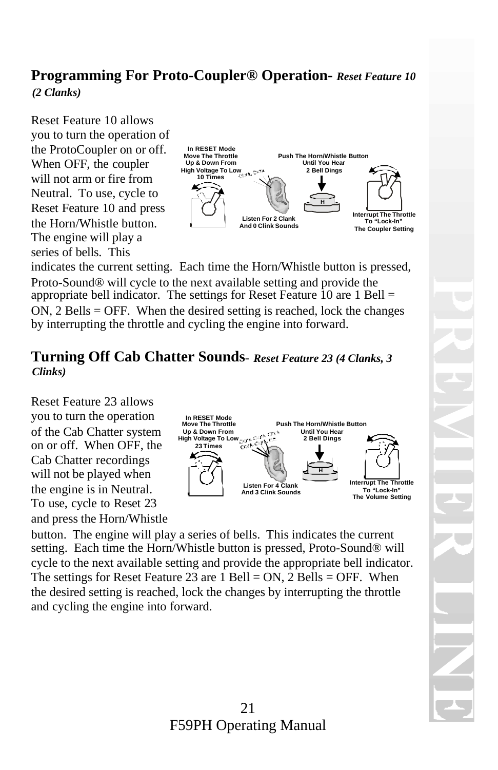### **Programming For Proto-Coupler® Operation-** *Reset Feature 10*

*(2 Clanks)*

Reset Feature 10 allows you to turn the operation of the ProtoCoupler on or off. When OFF, the coupler will not arm or fire from Neutral. To use, cycle to Reset Feature 10 and press the Horn/Whistle button. The engine will play a series of bells. This



indicates the current setting. Each time the Horn/Whistle button is pressed, Proto-Sound® will cycle to the next available setting and provide the appropriate bell indicator. The settings for Reset Feature 10 are 1 Bell = ON, 2 Bells = OFF. When the desired setting is reached, lock the changes by interrupting the throttle and cycling the engine into forward.

#### **Turning Off Cab Chatter Sounds**- *Reset Feature 23 (4 Clanks, 3 Clinks)*

Reset Feature 23 allows you to turn the operation of the Cab Chatter system on or off. When OFF, the Cab Chatter recordings will not be played when the engine is in Neutral. To use, cycle to Reset 23 and press the Horn/Whistle



button. The engine will play a series of bells. This indicates the current setting. Each time the Horn/Whistle button is pressed, Proto-Sound® will cycle to the next available setting and provide the appropriate bell indicator. The settings for Reset Feature 23 are  $1$  Bell = ON,  $2$  Bells = OFF. When the desired setting is reached, lock the changes by interrupting the throttle and cycling the engine into forward.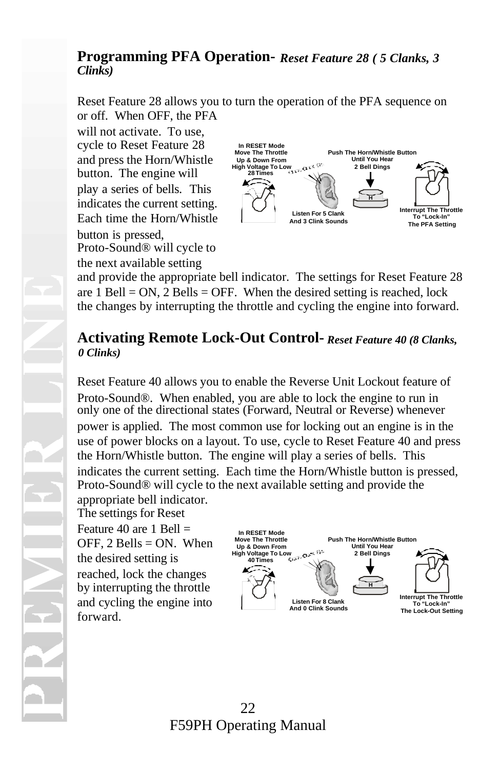#### **Programming PFA Operation-** *Reset Feature 28 ( 5 Clanks, 3 Clinks)*

Reset Feature 28 allows you to turn the operation of the PFA sequence on or off. When OFF, the PFA

will not activate. To use, cycle to Reset Feature 28 and press the Horn/Whistle button. The engine will play a series of bells. This indicates the current setting. Each time the Horn/Whistle button is pressed, Proto-Sound® will cycle to the next available setting



and provide the appropriate bell indicator. The settings for Reset Feature 28 are  $1$  Bell = ON,  $2$  Bells = OFF. When the desired setting is reached, lock the changes by interrupting the throttle and cycling the engine into forward.

#### **Activating Remote Lock-Out Control-** *Reset Feature 40 (8 Clanks, 0 Clinks)*

Reset Feature 40 allows you to enable the Reverse Unit Lockout feature of Proto-Sound®. When enabled, you are able to lock the engine to run in only one of the directional states (Forward, Neutral or Reverse) whenever power is applied. The most common use for locking out an engine is in the use of power blocks on a layout. To use, cycle to Reset Feature 40 and press the Horn/Whistle button. The engine will play a series of bells. This indicates the current setting. Each time the Horn/Whistle button is pressed, Proto-Sound® will cycle to the next available setting and provide the

appropriate bell indicator. The settings for Reset Feature 40 are 1 Bell  $=$ OFF,  $2$  Bells = ON. When the desired setting is reached, lock the changes by interrupting the throttle and cycling the engine into forward.



#### 22 F59PH Operating Manual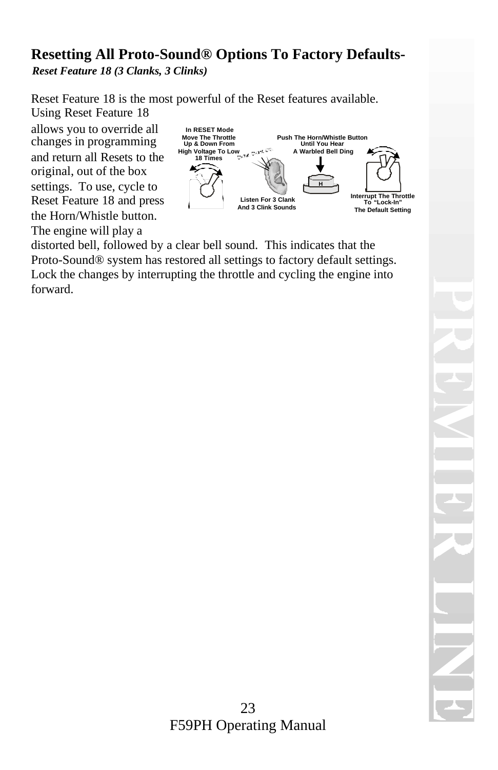#### **Resetting All Proto-Sound® Options To Factory Defaults-***Reset Feature 18 (3 Clanks, 3 Clinks)*

Reset Feature 18 is the most powerful of the Reset features available. Using Reset Feature 18

allows you to override all changes in programming and return all Resets to the original, out of the box settings. To use, cycle to Reset Feature 18 and press the Horn/Whistle button. The engine will play a



distorted bell, followed by a clear bell sound. This indicates that the Proto-Sound® system has restored all settings to factory default settings. Lock the changes by interrupting the throttle and cycling the engine into forward.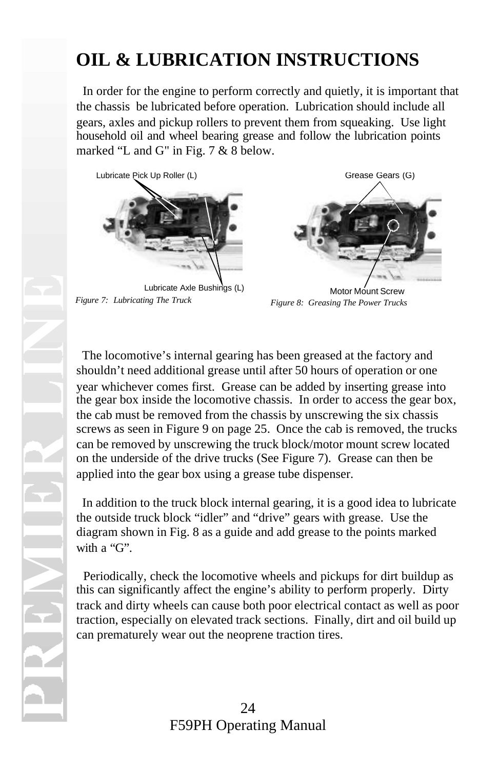# **OIL & LUBRICATION INSTRUCTIONS**

 In order for the engine to perform correctly and quietly, it is important that the chassis be lubricated before operation. Lubrication should include all gears, axles and pickup rollers to prevent them from squeaking. Use light household oil and wheel bearing grease and follow the lubrication points marked "L and G" in Fig. 7 & 8 below.



Lubricate Axle Bushings (L) *Figure 7: Lubricating The Truck*



Motor Mount Screw *Figure 8: Greasing The Power Trucks*

 The locomotive's internal gearing has been greased at the factory and shouldn't need additional grease until after 50 hours of operation or one year whichever comes first. Grease can be added by inserting grease into the gear box inside the locomotive chassis. In order to access the gear box, the cab must be removed from the chassis by unscrewing the six chassis screws as seen in Figure 9 on page 25. Once the cab is removed, the trucks can be removed by unscrewing the truck block/motor mount screw located on the underside of the drive trucks (See Figure 7). Grease can then be applied into the gear box using a grease tube dispenser.

 In addition to the truck block internal gearing, it is a good idea to lubricate the outside truck block "idler" and "drive" gears with grease. Use the diagram shown in Fig. 8 as a guide and add grease to the points marked with a "G".

 Periodically, check the locomotive wheels and pickups for dirt buildup as this can significantly affect the engine's ability to perform properly. Dirty track and dirty wheels can cause both poor electrical contact as well as poor traction, especially on elevated track sections. Finally, dirt and oil build up can prematurely wear out the neoprene traction tires.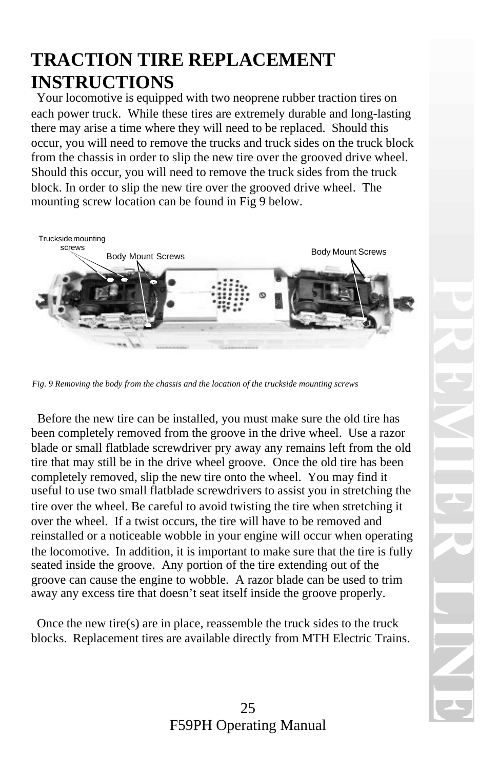## **TRACTION TIRE REPLACEMENT INSTRUCTIONS**

 Your locomotive is equipped with two neoprene rubber traction tires on each power truck. While these tires are extremely durable and long-lasting there may arise a time where they will need to be replaced. Should this occur, you will need to remove the trucks and truck sides on the truck block from the chassis in order to slip the new tire over the grooved drive wheel. Should this occur, you will need to remove the truck sides from the truck block. In order to slip the new tire over the grooved drive wheel. The mounting screw location can be found in Fig 9 below.



*Fig. 9 Removing the body from the chassis and the location of the truckside mounting screws*

 Before the new tire can be installed, you must make sure the old tire has been completely removed from the groove in the drive wheel. Use a razor blade or small flatblade screwdriver pry away any remains left from the old tire that may still be in the drive wheel groove. Once the old tire has been completely removed, slip the new tire onto the wheel. You may find it useful to use two small flatblade screwdrivers to assist you in stretching the tire over the wheel. Be careful to avoid twisting the tire when stretching it over the wheel. If a twist occurs, the tire will have to be removed and reinstalled or a noticeable wobble in your engine will occur when operating the locomotive. In addition, it is important to make sure that the tire is fully seated inside the groove. Any portion of the tire extending out of the groove can cause the engine to wobble. A razor blade can be used to trim away any excess tire that doesn't seat itself inside the groove properly.

 Once the new tire(s) are in place, reassemble the truck sides to the truck blocks. Replacement tires are available directly from MTH Electric Trains.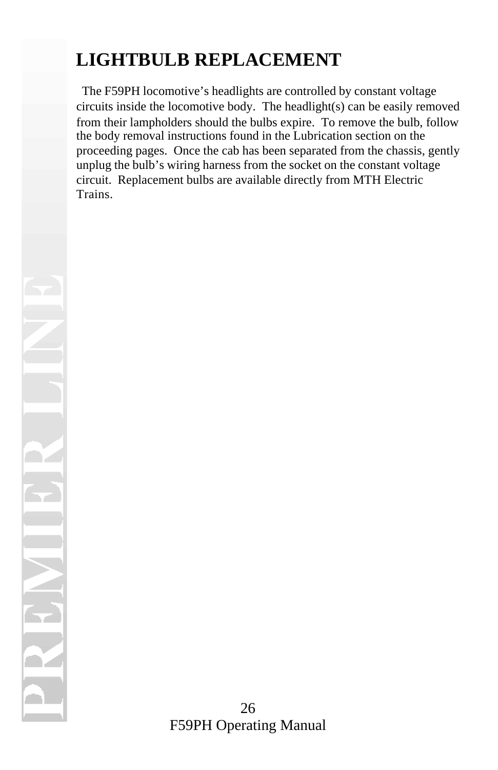# **LIGHTBULB REPLACEMENT**

 The F59PH locomotive's headlights are controlled by constant voltage circuits inside the locomotive body. The headlight(s) can be easily removed from their lampholders should the bulbs expire. To remove the bulb, follow the body removal instructions found in the Lubrication section on the proceeding pages. Once the cab has been separated from the chassis, gently unplug the bulb's wiring harness from the socket on the constant voltage circuit. Replacement bulbs are available directly from MTH Electric Trains.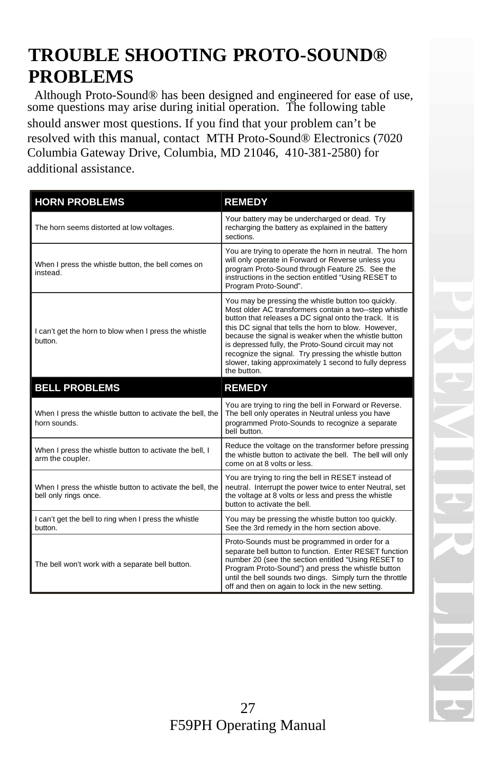## **TROUBLE SHOOTING PROTO-SOUND® PROBLEMS**

 Although Proto-Sound® has been designed and engineered for ease of use, some questions may arise during initial operation. The following table should answer most questions. If you find that your problem can't be resolved with this manual, contact MTH Proto-Sound® Electronics (7020 Columbia Gateway Drive, Columbia, MD 21046, 410-381-2580) for additional assistance.

| <b>HORN PROBLEMS</b>                                                               | <b>REMEDY</b>                                                                                                                                                                                                                                                                                                                                                                                                                                                                    |
|------------------------------------------------------------------------------------|----------------------------------------------------------------------------------------------------------------------------------------------------------------------------------------------------------------------------------------------------------------------------------------------------------------------------------------------------------------------------------------------------------------------------------------------------------------------------------|
| The horn seems distorted at low voltages.                                          | Your battery may be undercharged or dead. Try<br>recharging the battery as explained in the battery<br>sections.                                                                                                                                                                                                                                                                                                                                                                 |
| When I press the whistle button, the bell comes on<br>instead.                     | You are trying to operate the horn in neutral. The horn<br>will only operate in Forward or Reverse unless you<br>program Proto-Sound through Feature 25. See the<br>instructions in the section entitled "Using RESET to<br>Program Proto-Sound".                                                                                                                                                                                                                                |
| I can't get the horn to blow when I press the whistle<br>button.                   | You may be pressing the whistle button too quickly.<br>Most older AC transformers contain a two--step whistle<br>button that releases a DC signal onto the track. It is<br>this DC signal that tells the horn to blow. However,<br>because the signal is weaker when the whistle button<br>is depressed fully, the Proto-Sound circuit may not<br>recognize the signal. Try pressing the whistle button<br>slower, taking approximately 1 second to fully depress<br>the button. |
| <b>BELL PROBLEMS</b>                                                               | <b>REMEDY</b>                                                                                                                                                                                                                                                                                                                                                                                                                                                                    |
| When I press the whistle button to activate the bell, the<br>horn sounds.          | You are trying to ring the bell in Forward or Reverse.<br>The bell only operates in Neutral unless you have<br>programmed Proto-Sounds to recognize a separate<br>bell button.                                                                                                                                                                                                                                                                                                   |
| When I press the whistle button to activate the bell, I<br>arm the coupler.        | Reduce the voltage on the transformer before pressing<br>the whistle button to activate the bell. The bell will only<br>come on at 8 volts or less.                                                                                                                                                                                                                                                                                                                              |
| When I press the whistle button to activate the bell, the<br>bell only rings once. | You are trying to ring the bell in RESET instead of<br>neutral. Interrupt the power twice to enter Neutral, set<br>the voltage at 8 volts or less and press the whistle<br>button to activate the bell.                                                                                                                                                                                                                                                                          |
| I can't get the bell to ring when I press the whistle<br>button.                   | You may be pressing the whistle button too quickly.<br>See the 3rd remedy in the horn section above.                                                                                                                                                                                                                                                                                                                                                                             |
| The bell won't work with a separate bell button.                                   | Proto-Sounds must be programmed in order for a<br>separate bell button to function. Enter RESET function<br>number 20 (see the section entitled "Using RESET to<br>Program Proto-Sound") and press the whistle button<br>until the bell sounds two dings. Simply turn the throttle<br>off and then on again to lock in the new setting.                                                                                                                                          |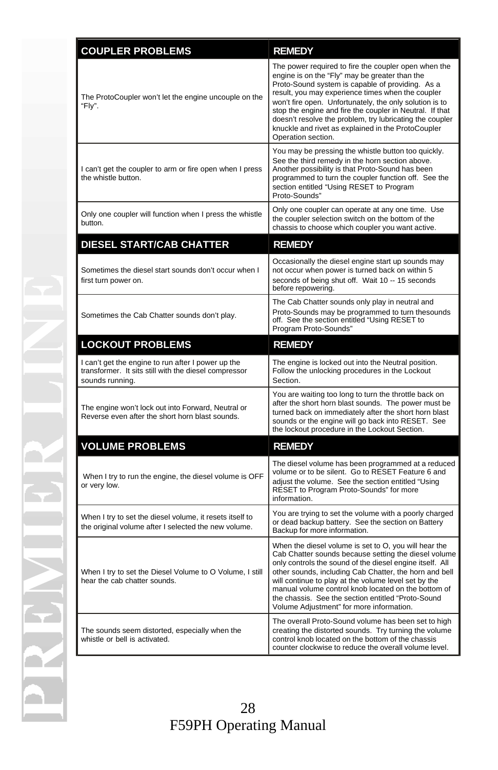| <b>COUPLER PROBLEMS</b>                                                                                                        | <b>REMEDY</b>                                                                                                                                                                                                                                                                                                                                                                                                                                                                  |
|--------------------------------------------------------------------------------------------------------------------------------|--------------------------------------------------------------------------------------------------------------------------------------------------------------------------------------------------------------------------------------------------------------------------------------------------------------------------------------------------------------------------------------------------------------------------------------------------------------------------------|
| The ProtoCoupler won't let the engine uncouple on the<br>"Fly".                                                                | The power required to fire the coupler open when the<br>engine is on the "Fly" may be greater than the<br>Proto-Sound system is capable of providing. As a<br>result, you may experience times when the coupler<br>won't fire open. Unfortunately, the only solution is to<br>stop the engine and fire the coupler in Neutral. If that<br>doesn't resolve the problem, try lubricating the coupler<br>knuckle and rivet as explained in the ProtoCoupler<br>Operation section. |
| I can't get the coupler to arm or fire open when I press<br>the whistle button.                                                | You may be pressing the whistle button too quickly.<br>See the third remedy in the horn section above.<br>Another possibility is that Proto-Sound has been<br>programmed to turn the coupler function off. See the<br>section entitled "Using RESET to Program<br>Proto-Sounds"                                                                                                                                                                                                |
| Only one coupler will function when I press the whistle<br>button.                                                             | Only one coupler can operate at any one time. Use<br>the coupler selection switch on the bottom of the<br>chassis to choose which coupler you want active.                                                                                                                                                                                                                                                                                                                     |
| <b>DIESEL START/CAB CHATTER</b>                                                                                                | <b>REMEDY</b>                                                                                                                                                                                                                                                                                                                                                                                                                                                                  |
| Sometimes the diesel start sounds don't occur when I<br>first turn power on.                                                   | Occasionally the diesel engine start up sounds may<br>not occur when power is turned back on within 5<br>seconds of being shut off. Wait 10 -- 15 seconds<br>before repowering.                                                                                                                                                                                                                                                                                                |
| Sometimes the Cab Chatter sounds don't play.                                                                                   | The Cab Chatter sounds only play in neutral and<br>Proto-Sounds may be programmed to turn thesounds<br>off. See the section entitled "Using RESET to<br>Program Proto-Sounds"                                                                                                                                                                                                                                                                                                  |
| <b>LOCKOUT PROBLEMS</b>                                                                                                        | <b>REMEDY</b>                                                                                                                                                                                                                                                                                                                                                                                                                                                                  |
| I can't get the engine to run after I power up the<br>transformer. It sits still with the diesel compressor<br>sounds running. | The engine is locked out into the Neutral position.<br>Follow the unlocking procedures in the Lockout<br>Section.                                                                                                                                                                                                                                                                                                                                                              |
| The engine won't lock out into Forward, Neutral or<br>Reverse even after the short horn blast sounds.                          | You are waiting too long to turn the throttle back on<br>after the short horn blast sounds. The power must be<br>turned back on immediately after the short horn blast<br>sounds or the engine will go back into RESET. See<br>the lockout procedure in the Lockout Section.                                                                                                                                                                                                   |
| <b>VOLUME PROBLEMS</b>                                                                                                         | <b>REMEDY</b>                                                                                                                                                                                                                                                                                                                                                                                                                                                                  |
| When I try to run the engine, the diesel volume is OFF<br>or very low.                                                         | The diesel volume has been programmed at a reduced<br>volume or to be silent. Go to RESET Feature 6 and<br>adiust the volume. See the section entitled "Using<br>RESET to Program Proto-Sounds" for more<br>information.                                                                                                                                                                                                                                                       |
| When I try to set the diesel volume, it resets itself to<br>the original volume after I selected the new volume.               | You are trying to set the volume with a poorly charged<br>or dead backup battery. See the section on Battery<br>Backup for more information.                                                                                                                                                                                                                                                                                                                                   |
| When I try to set the Diesel Volume to O Volume, I still<br>hear the cab chatter sounds.                                       | When the diesel volume is set to O, you will hear the<br>Cab Chatter sounds because setting the diesel volume<br>only controls the sound of the diesel engine itself. All<br>other sounds, including Cab Chatter, the horn and bell<br>will continue to play at the volume level set by the<br>manual volume control knob located on the bottom of<br>the chassis. See the section entitled "Proto-Sound"<br>Volume Adjustment" for more information.                          |
| The sounds seem distorted, especially when the<br>whistle or bell is activated.                                                | The overall Proto-Sound volume has been set to high<br>creating the distorted sounds. Try turning the volume<br>control knob located on the bottom of the chassis<br>counter clockwise to reduce the overall volume level.                                                                                                                                                                                                                                                     |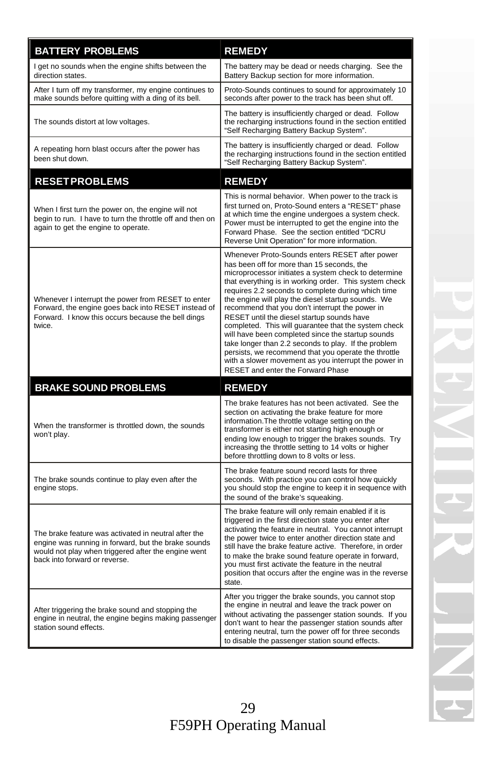| <b>BATTERY PROBLEMS</b>                                                                                                                                                                             | <b>REMEDY</b>                                                                                                                                                                                                                                                                                                                                                                                                                                                                                                                                                                                                                                                                                                                                         |
|-----------------------------------------------------------------------------------------------------------------------------------------------------------------------------------------------------|-------------------------------------------------------------------------------------------------------------------------------------------------------------------------------------------------------------------------------------------------------------------------------------------------------------------------------------------------------------------------------------------------------------------------------------------------------------------------------------------------------------------------------------------------------------------------------------------------------------------------------------------------------------------------------------------------------------------------------------------------------|
| I get no sounds when the engine shifts between the<br>direction states.                                                                                                                             | The battery may be dead or needs charging. See the<br>Battery Backup section for more information.                                                                                                                                                                                                                                                                                                                                                                                                                                                                                                                                                                                                                                                    |
| After I turn off my transformer, my engine continues to<br>make sounds before quitting with a ding of its bell.                                                                                     | Proto-Sounds continues to sound for approximately 10<br>seconds after power to the track has been shut off.                                                                                                                                                                                                                                                                                                                                                                                                                                                                                                                                                                                                                                           |
| The sounds distort at low voltages.                                                                                                                                                                 | The battery is insufficiently charged or dead. Follow<br>the recharging instructions found in the section entitled<br>"Self Recharging Battery Backup System".                                                                                                                                                                                                                                                                                                                                                                                                                                                                                                                                                                                        |
| A repeating horn blast occurs after the power has<br>been shut down.                                                                                                                                | The battery is insufficiently charged or dead. Follow<br>the recharging instructions found in the section entitled<br>"Self Recharging Battery Backup System".                                                                                                                                                                                                                                                                                                                                                                                                                                                                                                                                                                                        |
| <b>RESETPROBLEMS</b>                                                                                                                                                                                | <b>REMEDY</b>                                                                                                                                                                                                                                                                                                                                                                                                                                                                                                                                                                                                                                                                                                                                         |
| When I first turn the power on, the engine will not<br>begin to run. I have to turn the throttle off and then on<br>again to get the engine to operate.                                             | This is normal behavior. When power to the track is<br>first turned on, Proto-Sound enters a "RESET" phase<br>at which time the engine undergoes a system check.<br>Power must be interrupted to get the engine into the<br>Forward Phase. See the section entitled "DCRU<br>Reverse Unit Operation" for more information.                                                                                                                                                                                                                                                                                                                                                                                                                            |
| Whenever I interrupt the power from RESET to enter<br>Forward, the engine goes back into RESET instead of<br>Forward. I know this occurs because the bell dings<br>twice.                           | Whenever Proto-Sounds enters RESET after power<br>has been off for more than 15 seconds, the<br>microprocessor initiates a system check to determine<br>that everything is in working order. This system check<br>requires 2.2 seconds to complete during which time<br>the engine will play the diesel startup sounds. We<br>recommend that you don't interrupt the power in<br>RESET until the diesel startup sounds have<br>completed. This will guarantee that the system check<br>will have been completed since the startup sounds<br>take longer than 2.2 seconds to play. If the problem<br>persists, we recommend that you operate the throttle<br>with a slower movement as you interrupt the power in<br>RESET and enter the Forward Phase |
| <b>BRAKE SOUND PROBLEMS</b>                                                                                                                                                                         | <b>REMEDY</b>                                                                                                                                                                                                                                                                                                                                                                                                                                                                                                                                                                                                                                                                                                                                         |
| When the transformer is throttled down, the sounds<br>won't play.                                                                                                                                   | The brake features has not been activated. See the<br>section on activating the brake feature for more<br>information. The throttle voltage setting on the<br>transformer is either not starting high enough or<br>ending low enough to trigger the brakes sounds. Try<br>increasing the throttle setting to 14 volts or higher<br>before throttling down to 8 volts or less.                                                                                                                                                                                                                                                                                                                                                                         |
| The brake sounds continue to play even after the<br>engine stops.                                                                                                                                   | The brake feature sound record lasts for three<br>seconds. With practice you can control how quickly<br>you should stop the engine to keep it in sequence with<br>the sound of the brake's squeaking.                                                                                                                                                                                                                                                                                                                                                                                                                                                                                                                                                 |
| The brake feature was activated in neutral after the<br>engine was running in forward, but the brake sounds<br>would not play when triggered after the engine went<br>back into forward or reverse. | The brake feature will only remain enabled if it is<br>triggered in the first direction state you enter after<br>activating the feature in neutral. You cannot interrupt<br>the power twice to enter another direction state and<br>still have the brake feature active. Therefore, in order<br>to make the brake sound feature operate in forward,<br>you must first activate the feature in the neutral<br>position that occurs after the engine was in the reverse<br>state.                                                                                                                                                                                                                                                                       |
| After triggering the brake sound and stopping the<br>engine in neutral, the engine begins making passenger<br>station sound effects.                                                                | After you trigger the brake sounds, you cannot stop<br>the engine in neutral and leave the track power on<br>without activating the passenger station sounds. If you<br>don't want to hear the passenger station sounds after<br>entering neutral, turn the power off for three seconds<br>to disable the passenger station sound effects.                                                                                                                                                                                                                                                                                                                                                                                                            |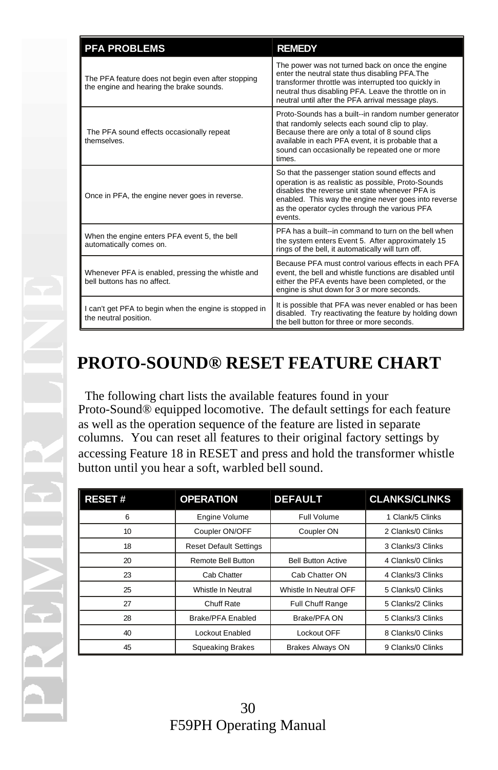| <b>PFA PROBLEMS</b>                                                                            | <b>REMEDY</b>                                                                                                                                                                                                                                                                  |
|------------------------------------------------------------------------------------------------|--------------------------------------------------------------------------------------------------------------------------------------------------------------------------------------------------------------------------------------------------------------------------------|
| The PFA feature does not begin even after stopping<br>the engine and hearing the brake sounds. | The power was not turned back on once the engine<br>enter the neutral state thus disabling PFA. The<br>transformer throttle was interrupted too quickly in<br>neutral thus disabling PFA. Leave the throttle on in<br>neutral until after the PFA arrival message plays.       |
| The PFA sound effects occasionally repeat<br>themselves                                        | Proto-Sounds has a built--in random number generator<br>that randomly selects each sound clip to play.<br>Because there are only a total of 8 sound clips<br>available in each PFA event, it is probable that a<br>sound can occasionally be repeated one or more<br>times.    |
| Once in PFA, the engine never goes in reverse.                                                 | So that the passenger station sound effects and<br>operation is as realistic as possible, Proto-Sounds<br>disables the reverse unit state whenever PFA is<br>enabled. This way the engine never goes into reverse<br>as the operator cycles through the various PFA<br>events. |
| When the engine enters PFA event 5, the bell<br>automatically comes on.                        | PFA has a built--in command to turn on the bell when<br>the system enters Event 5. After approximately 15<br>rings of the bell, it automatically will turn off.                                                                                                                |
| Whenever PFA is enabled, pressing the whistle and<br>bell buttons has no affect.               | Because PFA must control various effects in each PFA<br>event, the bell and whistle functions are disabled until<br>either the PFA events have been completed, or the<br>engine is shut down for 3 or more seconds.                                                            |
| I can't get PFA to begin when the engine is stopped in<br>the neutral position.                | It is possible that PFA was never enabled or has been<br>disabled. Try reactivating the feature by holding down<br>the bell button for three or more seconds.                                                                                                                  |

## **PROTO-SOUND® RESET FEATURE CHART**

 The following chart lists the available features found in your Proto-Sound® equipped locomotive. The default settings for each feature as well as the operation sequence of the feature are listed in separate columns. You can reset all features to their original factory settings by accessing Feature 18 in RESET and press and hold the transformer whistle button until you hear a soft, warbled bell sound.

| <b>RESET#</b> | <b>OPERATION</b>              | <b>DEFAULT</b>            | <b>CLANKS/CLINKS</b> |
|---------------|-------------------------------|---------------------------|----------------------|
| 6             | Engine Volume                 | Full Volume               | 1 Clank/5 Clinks     |
| 10            | Coupler ON/OFF                | Coupler ON                | 2 Clanks/0 Clinks    |
| 18            | <b>Reset Default Settings</b> |                           | 3 Clanks/3 Clinks    |
| 20            | Remote Bell Button            | <b>Bell Button Active</b> | 4 Clanks/0 Clinks    |
| 23            | Cab Chatter                   | Cab Chatter ON            | 4 Clanks/3 Clinks    |
| 25            | Whistle In Neutral            | Whistle In Neutral OFF    | 5 Clanks/0 Clinks    |
| 27            | Chuff Rate                    | Full Chuff Range          | 5 Clanks/2 Clinks    |
| 28            | Brake/PFA Enabled             | Brake/PFA ON              | 5 Clanks/3 Clinks    |
| 40            | Lockout Enabled               | Lockout OFF               | 8 Clanks/0 Clinks    |
| 45            | <b>Squeaking Brakes</b>       | <b>Brakes Always ON</b>   | 9 Clanks/0 Clinks    |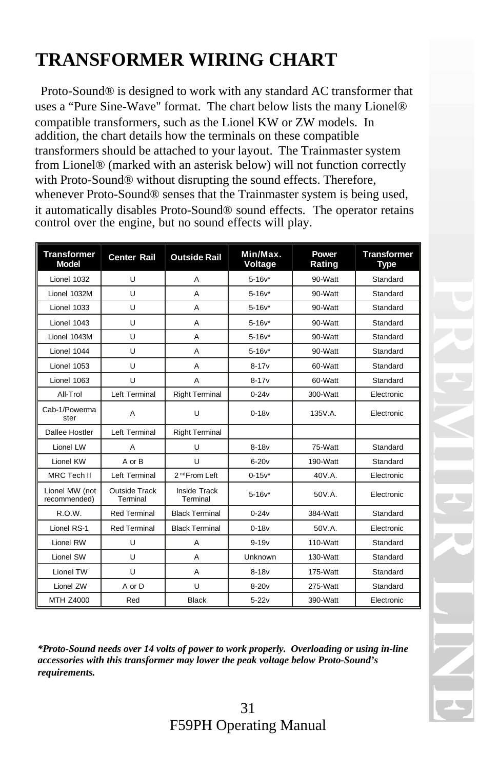# **TRANSFORMER WIRING CHART**

 Proto-Sound® is designed to work with any standard AC transformer that uses a "Pure Sine-Wave" format. The chart below lists the many Lionel® compatible transformers, such as the Lionel KW or ZW models. In addition, the chart details how the terminals on these compatible transformers should be attached to your layout. The Trainmaster system from Lionel® (marked with an asterisk below) will not function correctly with Proto-Sound® without disrupting the sound effects. Therefore, whenever Proto-Sound® senses that the Trainmaster system is being used, it automatically disables Proto-Sound® sound effects. The operator retains control over the engine, but no sound effects will play.

| <b>Transformer</b><br><b>Model</b> | <b>Center Rail</b>               | <b>Outside Rail</b>             | Min/Max.<br>Voltage | Power<br>Rating | <b>Transformer</b><br><b>Type</b> |
|------------------------------------|----------------------------------|---------------------------------|---------------------|-----------------|-----------------------------------|
| Lionel 1032                        | U                                | A                               | $5 - 16v^*$         | 90-Watt         | Standard                          |
| Lionel 1032M                       | U                                | A                               | $5 - 16v^*$         | 90-Watt         | Standard                          |
| Lionel 1033                        | U                                | A                               | $5 - 16v^*$         | 90-Watt         | Standard                          |
| Lionel 1043                        | U                                | A                               | $5 - 16v^*$         | 90-Watt         | Standard                          |
| Lionel 1043M                       | U                                | A                               | $5 - 16v^*$         | 90-Watt         | Standard                          |
| Lionel 1044                        | U                                | A                               | $5 - 16v^*$         | 90-Watt         | Standard                          |
| Lionel 1053                        | U                                | A                               | $8 - 17v$           | 60-Watt         | Standard                          |
| Lionel 1063                        | U                                | A                               | $8 - 17v$           | 60-Watt         | Standard                          |
| All-Trol                           | Left Terminal                    | <b>Right Terminal</b>           | $0 - 24v$           | 300-Watt        | Electronic                        |
| Cab-1/Powerma<br>ster              | A                                | U                               | $0 - 18v$           | 135V.A.         | Electronic                        |
| Dallee Hostler                     | Left Terminal                    | <b>Right Terminal</b>           |                     |                 |                                   |
| Lionel LW                          | A                                | U                               | $8-18v$             | 75-Watt         | Standard                          |
| Lionel KW                          | A or B                           | U                               | $6 - 20v$           | 190-Watt        | Standard                          |
| <b>MRC Tech II</b>                 | Left Terminal                    | 2 <sup>nd</sup> From Left       | $0 - 15v^*$         | 40V.A.          | Electronic                        |
| Lionel MW (not<br>recommended)     | <b>Outside Track</b><br>Terminal | <b>Inside Track</b><br>Terminal | $5 - 16v^*$         | 50V.A.          | Electronic                        |
| R.O.W.                             | <b>Red Terminal</b>              | <b>Black Terminal</b>           | $0-24v$             | 384-Watt        | Standard                          |
| Lionel RS-1                        | <b>Red Terminal</b>              | <b>Black Terminal</b>           | $0-18v$             | 50V.A.          | Electronic                        |
| Lionel RW                          | U                                | A                               | $9 - 19v$           | 110-Watt        | Standard                          |
| Lionel SW                          | $\mathbf{U}$                     | A                               | Unknown             | $130-Watt$      | Standard                          |
| Lionel TW                          | U                                | A                               | $8-18v$             | 175-Watt        | Standard                          |
| Lionel ZW                          | A or D                           | U                               | $8-20v$             | 275-Watt        | Standard                          |
| MTH Z4000                          | Red                              | <b>Black</b>                    | $5-22v$             | 390-Watt        | Electronic                        |

*\*Proto-Sound needs over 14 volts of power to work properly. Overloading or using in-line accessories with this transformer may lower the peak voltage below Proto-Sound's requirements.*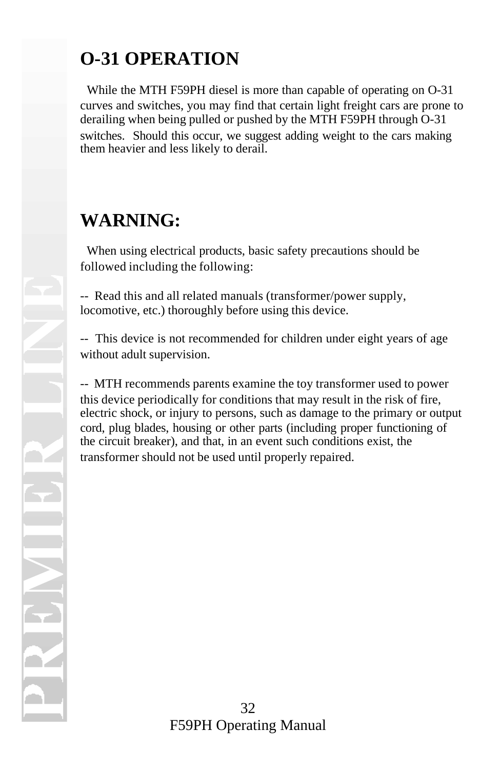# **O-31 OPERATION**

 While the MTH F59PH diesel is more than capable of operating on O-31 curves and switches, you may find that certain light freight cars are prone to derailing when being pulled or pushed by the MTH F59PH through O-31 switches. Should this occur, we suggest adding weight to the cars making them heavier and less likely to derail.

## **WARNING:**

 When using electrical products, basic safety precautions should be followed including the following:

-- Read this and all related manuals (transformer/power supply, locomotive, etc.) thoroughly before using this device.

-- This device is not recommended for children under eight years of age without adult supervision.

-- MTH recommends parents examine the toy transformer used to power this device periodically for conditions that may result in the risk of fire, electric shock, or injury to persons, such as damage to the primary or output cord, plug blades, housing or other parts (including proper functioning of the circuit breaker), and that, in an event such conditions exist, the transformer should not be used until properly repaired.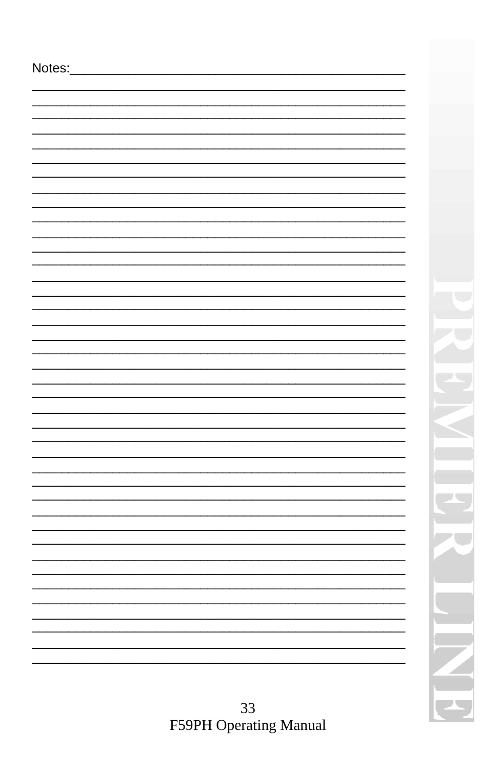| Notes: |    |
|--------|----|
|        |    |
|        |    |
|        |    |
|        |    |
|        |    |
|        |    |
|        |    |
|        |    |
|        |    |
|        |    |
|        |    |
|        |    |
|        | t, |
|        |    |
|        |    |
|        |    |
|        |    |
|        |    |
|        |    |
|        |    |
|        |    |
|        |    |
|        |    |
|        |    |
|        |    |
|        |    |
|        |    |
|        |    |
|        |    |
|        |    |
|        |    |
|        |    |
|        |    |
|        |    |
|        |    |
|        |    |
|        |    |
|        |    |

33<br>F59PH Operating Manual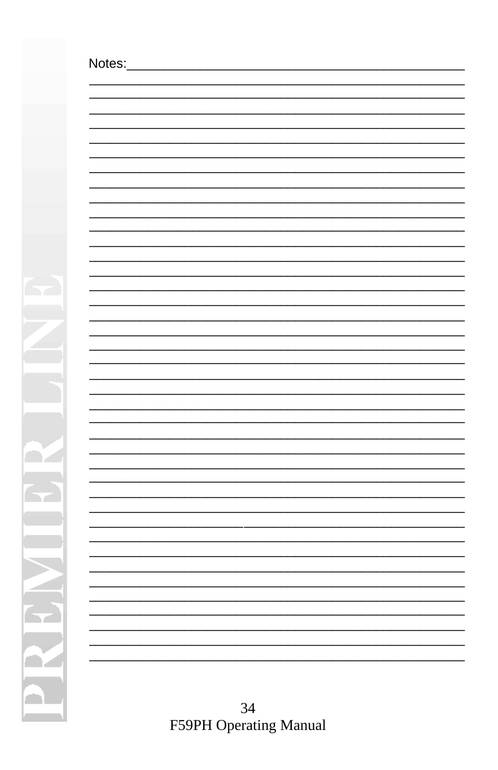$\mathbf{r}$ 

Ň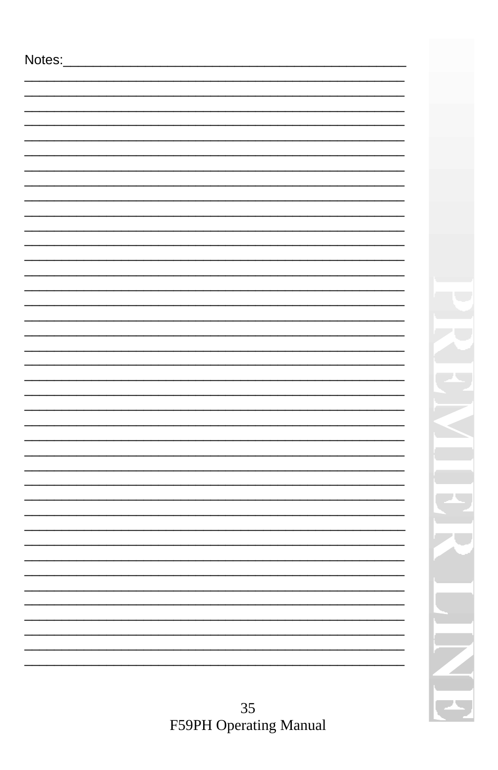| Notes: |  |
|--------|--|
|        |  |
|        |  |
|        |  |
|        |  |
|        |  |
|        |  |
|        |  |
|        |  |
|        |  |
|        |  |
|        |  |
|        |  |
|        |  |
|        |  |
|        |  |
|        |  |
|        |  |
|        |  |
|        |  |
|        |  |
|        |  |
|        |  |
|        |  |
|        |  |
|        |  |
|        |  |
|        |  |
|        |  |
|        |  |
|        |  |
|        |  |